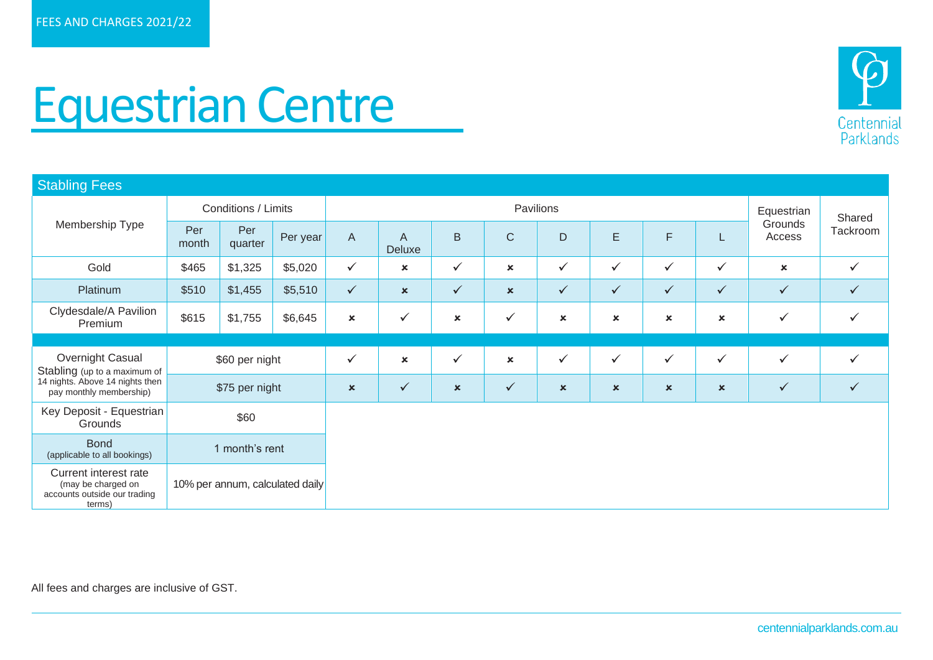

## Equestrian Centre

| <b>Stabling Fees</b>                                                                                           |                                 |                |          |                           |                           |                           |                             |                |                           |                           |                           |                           |              |
|----------------------------------------------------------------------------------------------------------------|---------------------------------|----------------|----------|---------------------------|---------------------------|---------------------------|-----------------------------|----------------|---------------------------|---------------------------|---------------------------|---------------------------|--------------|
|                                                                                                                | Conditions / Limits             |                |          |                           |                           | Equestrian                | Shared                      |                |                           |                           |                           |                           |              |
| Membership Type<br>Per<br>month                                                                                |                                 | Per<br>quarter | Per year | $\mathsf{A}$              | A<br>Deluxe               | B                         | $\mathsf{C}$<br>$\mathsf D$ |                | E                         | F                         |                           | Grounds<br>Access         | Tackroom     |
| Gold                                                                                                           | \$465                           | \$1,325        | \$5,020  | $\checkmark$              | $\boldsymbol{\mathsf{x}}$ | $\checkmark$              | $\boldsymbol{\mathsf{x}}$   | $\checkmark$   | $\checkmark$              | $\checkmark$              | $\checkmark$              | $\boldsymbol{\mathsf{x}}$ | $\checkmark$ |
| Platinum                                                                                                       | \$510                           | \$1,455        | \$5,510  | $\checkmark$              | $\boldsymbol{\mathsf{x}}$ | $\checkmark$              | $\mathbf x$                 | $\checkmark$   | $\checkmark$              | $\checkmark$              | $\checkmark$              | $\checkmark$              | $\checkmark$ |
| Clydesdale/A Pavilion<br>Premium                                                                               | \$615                           | \$1,755        | \$6,645  | $\pmb{\times}$            | $\checkmark$              | $\boldsymbol{\mathsf{x}}$ | $\checkmark$                | $\pmb{\times}$ | $\pmb{\times}$            | $\boldsymbol{\mathsf{x}}$ | $\boldsymbol{\mathsf{x}}$ | $\checkmark$              | $\checkmark$ |
|                                                                                                                |                                 |                |          |                           |                           |                           |                             |                |                           |                           |                           |                           |              |
| Overnight Casual<br>Stabling (up to a maximum of<br>14 nights. Above 14 nights then<br>pay monthly membership) | \$60 per night                  |                |          | $\checkmark$              | $\mathbf x$               | $\checkmark$              | $\boldsymbol{\mathsf{x}}$   | $\checkmark$   | $\checkmark$              | $\checkmark$              | $\checkmark$              | $\checkmark$              | $\checkmark$ |
|                                                                                                                | \$75 per night                  |                |          | $\boldsymbol{\mathsf{x}}$ | $\checkmark$              | $\mathbf x$               | $\checkmark$                | $\pmb{\times}$ | $\boldsymbol{\mathsf{x}}$ | $\pmb{\times}$            | $\boldsymbol{\mathsf{x}}$ | $\checkmark$              | $\checkmark$ |
| Key Deposit - Equestrian<br>Grounds                                                                            | \$60                            |                |          |                           |                           |                           |                             |                |                           |                           |                           |                           |              |
| <b>Bond</b><br>(applicable to all bookings)                                                                    | 1 month's rent                  |                |          |                           |                           |                           |                             |                |                           |                           |                           |                           |              |
| Current interest rate<br>(may be charged on<br>accounts outside our trading<br>terms)                          | 10% per annum, calculated daily |                |          |                           |                           |                           |                             |                |                           |                           |                           |                           |              |

All fees and charges are inclusive of GST.